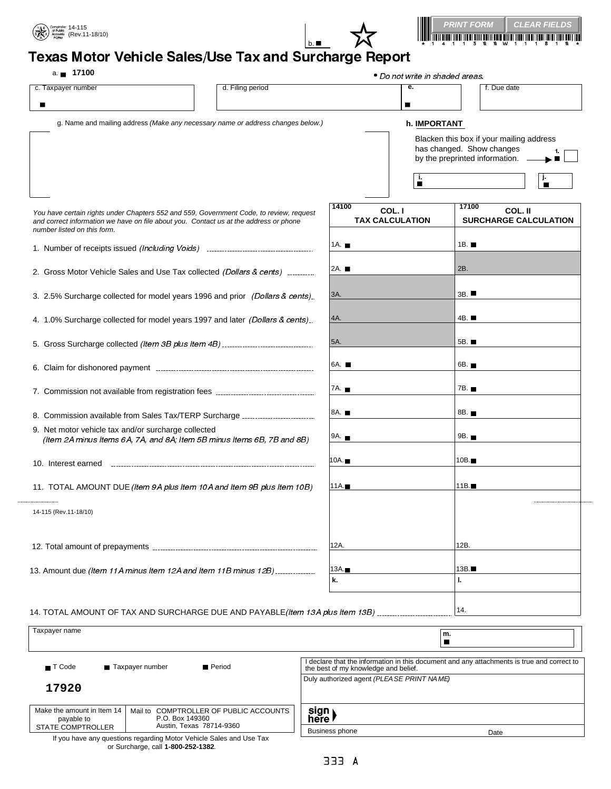





## کہ دی ہے اور Texas Motor Vehicle Sales/Use Tax and Surcharge Report

## a. **17100**

|                                                                                                                                                                                                                 | $a = 1100$         |                                           |                      | ● Do not write in shaded areas.                                                                           |      |  |  |
|-----------------------------------------------------------------------------------------------------------------------------------------------------------------------------------------------------------------|--------------------|-------------------------------------------|----------------------|-----------------------------------------------------------------------------------------------------------|------|--|--|
| c. Taxpayer number                                                                                                                                                                                              | d. Filing period   |                                           | e.<br>■              | f. Due date                                                                                               |      |  |  |
| g. Name and mailing address (Make any necessary name or address changes below.)                                                                                                                                 |                    |                                           | h. IMPORTANT         |                                                                                                           |      |  |  |
|                                                                                                                                                                                                                 |                    |                                           | j,<br>$\blacksquare$ | Blacken this box if your mailing address<br>has changed. Show changes<br>by the preprinted information. - | п    |  |  |
| You have certain rights under Chapters 552 and 559, Government Code, to review, request<br>and correct information we have on file about you. Contact us at the address or phone<br>number listed on this form. |                    | 14100<br>COL. I<br><b>TAX CALCULATION</b> |                      | 17100<br>COL. II<br><b>SURCHARGE CALCULATION</b>                                                          |      |  |  |
| 1. Number of receipts issued (Including Voids) _________________________________                                                                                                                                | 1A. $\blacksquare$ |                                           | 1 $B.$               |                                                                                                           |      |  |  |
| 2. Gross Motor Vehicle Sales and Use Tax collected (Dollars & cents)                                                                                                                                            | 2A.                |                                           | 2B.                  |                                                                                                           |      |  |  |
| 3. 2.5% Surcharge collected for model years 1996 and prior (Dollars & cents).                                                                                                                                   | 3A.                |                                           | 3B.                  |                                                                                                           |      |  |  |
| 4. 1.0% Surcharge collected for model years 1997 and later (Dollars & cents)                                                                                                                                    | 4A.                |                                           | 4B. <b>■</b>         |                                                                                                           |      |  |  |
|                                                                                                                                                                                                                 |                    | 5A.                                       |                      | 5B. <b>■</b>                                                                                              |      |  |  |
|                                                                                                                                                                                                                 |                    | 6A.                                       |                      | 6B. <b>■</b>                                                                                              |      |  |  |
| 7. Commission not available from registration fees _____________________________                                                                                                                                |                    | 7A. <b>■</b>                              |                      | 7B. <b>■</b>                                                                                              |      |  |  |
| 8. Commission available from Sales Tax/TERP Surcharge                                                                                                                                                           |                    | 8A. ■                                     |                      | 8B. <b>.</b>                                                                                              |      |  |  |
| 9. Net motor vehicle tax and/or surcharge collected<br>(Item 2A minus Items 6A, 7A, and 8A; Item 5B minus Items 6B, 7B and 8B)                                                                                  |                    | 9A.                                       |                      | 9B. <b>.</b>                                                                                              |      |  |  |
| 10. Interest earned                                                                                                                                                                                             |                    | 10A.∎                                     |                      | $10B \blacksquare$                                                                                        |      |  |  |
| 11. TOTAL AMOUNT DUE (Item 9A plus Item 10A and Item 9B plus Item 10B)                                                                                                                                          |                    | 11A.∎                                     |                      |                                                                                                           | 11B. |  |  |
| 14-115 (Rev.11-18/10)                                                                                                                                                                                           |                    |                                           |                      |                                                                                                           |      |  |  |
|                                                                                                                                                                                                                 |                    | 12A.                                      |                      | 12B.                                                                                                      |      |  |  |
| 13. Amount due (Item 11A minus Item 12A and Item 11B minus 12B)                                                                                                                                                 | 13A.               |                                           | 13B.                 |                                                                                                           |      |  |  |
|                                                                                                                                                                                                                 | k.                 |                                           | ı.                   |                                                                                                           |      |  |  |
| 14. TOTAL AMOUNT OF TAX AND SURCHARGE DUE AND PAYABLE (Item 13A plus Item 13B)                                                                                                                                  |                    |                                           |                      | 14.                                                                                                       |      |  |  |

| Taxpayer name                                                        |                                                                                       |                                                                     |                                                                                                                                    | m.   |  |  |
|----------------------------------------------------------------------|---------------------------------------------------------------------------------------|---------------------------------------------------------------------|------------------------------------------------------------------------------------------------------------------------------------|------|--|--|
| ■ Period<br>Taxpayer number<br>$\blacksquare$ T Code                 |                                                                                       |                                                                     | I declare that the information in this document and any attachments is true and correct to<br>the best of my knowledge and belief. |      |  |  |
| 17920                                                                |                                                                                       |                                                                     | Duly authorized agent (PLEA SE PRINT NAME)                                                                                         |      |  |  |
| Make the amount in Item 14<br>payable to<br><b>STATE COMPTROLLER</b> | Mail to COMPTROLLER OF PUBLIC ACCOUNTS<br>P.O. Box 149360<br>Austin, Texas 78714-9360 |                                                                     | sign<br>here                                                                                                                       |      |  |  |
|                                                                      | or Surcharge, call 1-800-252-1382.                                                    | If you have any questions regarding Motor Vehicle Sales and Use Tax | <b>Business phone</b>                                                                                                              | Date |  |  |